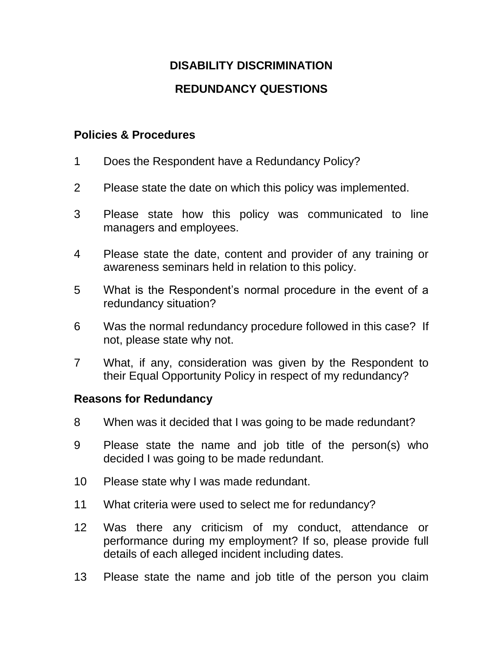# **DISABILITY DISCRIMINATION REDUNDANCY QUESTIONS**

## **Policies & Procedures**

- 1 Does the Respondent have a Redundancy Policy?
- 2 Please state the date on which this policy was implemented.
- 3 Please state how this policy was communicated to line managers and employees.
- 4 Please state the date, content and provider of any training or awareness seminars held in relation to this policy.
- 5 What is the Respondent's normal procedure in the event of a redundancy situation?
- 6 Was the normal redundancy procedure followed in this case? If not, please state why not.
- 7 What, if any, consideration was given by the Respondent to their Equal Opportunity Policy in respect of my redundancy?

### **Reasons for Redundancy**

- 8 When was it decided that I was going to be made redundant?
- 9 Please state the name and job title of the person(s) who decided I was going to be made redundant.
- 10 Please state why I was made redundant.
- 11 What criteria were used to select me for redundancy?
- 12 Was there any criticism of my conduct, attendance or performance during my employment? If so, please provide full details of each alleged incident including dates.
- 13 Please state the name and job title of the person you claim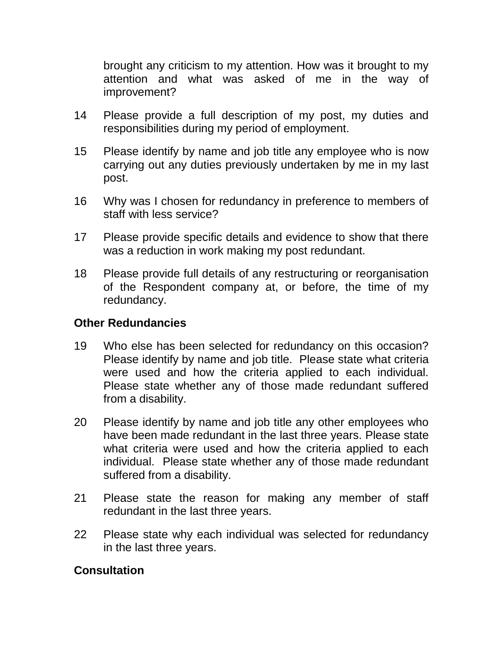brought any criticism to my attention. How was it brought to my attention and what was asked of me in the way of improvement?

- 14 Please provide a full description of my post, my duties and responsibilities during my period of employment.
- 15 Please identify by name and job title any employee who is now carrying out any duties previously undertaken by me in my last post.
- 16 Why was I chosen for redundancy in preference to members of staff with less service?
- 17 Please provide specific details and evidence to show that there was a reduction in work making my post redundant.
- 18 Please provide full details of any restructuring or reorganisation of the Respondent company at, or before, the time of my redundancy.

## **Other Redundancies**

- 19 Who else has been selected for redundancy on this occasion? Please identify by name and job title. Please state what criteria were used and how the criteria applied to each individual. Please state whether any of those made redundant suffered from a disability.
- 20 Please identify by name and job title any other employees who have been made redundant in the last three years. Please state what criteria were used and how the criteria applied to each individual. Please state whether any of those made redundant suffered from a disability.
- 21 Please state the reason for making any member of staff redundant in the last three years.
- 22 Please state why each individual was selected for redundancy in the last three years.

### **Consultation**